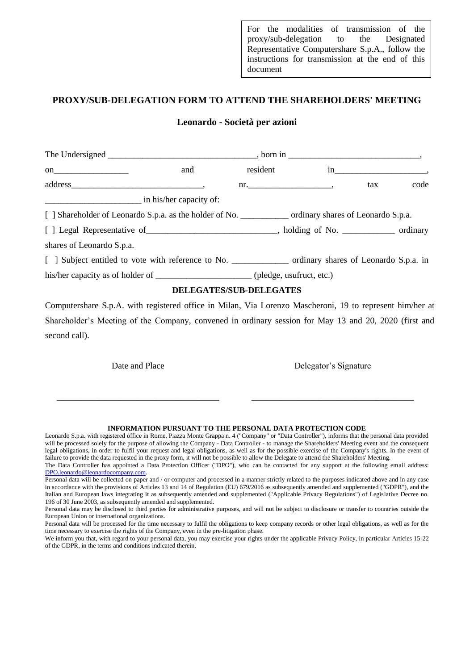For the modalities of transmission of the proxy/sub-delegation to the Designated Representative Computershare S.p.A., follow the instructions for transmission at the end of this document

# **PROXY/SUB-DELEGATION FORM TO ATTEND THE SHAREHOLDERS' MEETING**

## **Leonardo - Società per azioni**

| on $\qquad \qquad$                                                                                                    | and                            | resident |                | $\overline{\text{in}}$ $\overline{\text{}}$ |      |
|-----------------------------------------------------------------------------------------------------------------------|--------------------------------|----------|----------------|---------------------------------------------|------|
|                                                                                                                       |                                |          | $\mathbf{m}$ . | tax                                         | code |
| <u> Alexandro de la contrada de la contrada de la contrada de la contrada de la contrada de la contrada de la con</u> | in his/her capacity of:        |          |                |                                             |      |
|                                                                                                                       |                                |          |                |                                             |      |
| [ ] Legal Representative of ______________________________, holding of No. ____________ ordinary                      |                                |          |                |                                             |      |
| shares of Leonardo S.p.a.                                                                                             |                                |          |                |                                             |      |
|                                                                                                                       |                                |          |                |                                             |      |
| his/her capacity as of holder of _______________________(pledge, usufruct, etc.)                                      |                                |          |                |                                             |      |
|                                                                                                                       | <b>DELEGATES/SUB-DELEGATES</b> |          |                |                                             |      |

Computershare S.p.A. with registered office in Milan, Via Lorenzo Mascheroni, 19 to represent him/her at Shareholder's Meeting of the Company, convened in ordinary session for May 13 and 20, 2020 (first and second call).

Date and Place Delegator's Signature

#### **INFORMATION PURSUANT TO THE PERSONAL DATA PROTECTION CODE**

\_\_\_\_\_\_\_\_\_\_\_\_\_\_\_\_\_\_\_\_\_\_\_\_\_\_\_\_\_\_\_\_\_\_ \_\_\_\_\_\_\_\_\_\_\_\_\_\_\_\_\_\_\_\_\_\_\_\_\_\_\_\_\_\_\_\_\_\_

Leonardo S.p.a. with registered office in Rome, Piazza Monte Grappa n. 4 ("Company" or "Data Controller"), informs that the personal data provided will be processed solely for the purpose of allowing the Company - Data Controller - to manage the Shareholders' Meeting event and the consequent legal obligations, in order to fulfil your request and legal obligations, as well as for the possible exercise of the Company's rights. In the event of failure to provide the data requested in the proxy form, it will not be possible to allow the Delegate to attend the Shareholders' Meeting. The Data Controller has appointed a Data Protection Officer ("DPO"), who can be contacted for any support at the following email address: [DPO.leonardo@leonardocompany.com.](mailto:DPO.leonardo@leonardocompany.com)

Personal data will be collected on paper and / or computer and processed in a manner strictly related to the purposes indicated above and in any case in accordance with the provisions of Articles 13 and 14 of Regulation (EU) 679/2016 as subsequently amended and supplemented ("GDPR"), and the Italian and European laws integrating it as subsequently amended and supplemented ("Applicable Privacy Regulations") of Legislative Decree no. 196 of 30 June 2003, as subsequently amended and supplemented.

Personal data may be disclosed to third parties for administrative purposes, and will not be subject to disclosure or transfer to countries outside the European Union or international organizations.

Personal data will be processed for the time necessary to fulfil the obligations to keep company records or other legal obligations, as well as for the time necessary to exercise the rights of the Company, even in the pre-litigation phase.

We inform you that, with regard to your personal data, you may exercise your rights under the applicable Privacy Policy, in particular Articles 15-22 of the GDPR, in the terms and conditions indicated therein.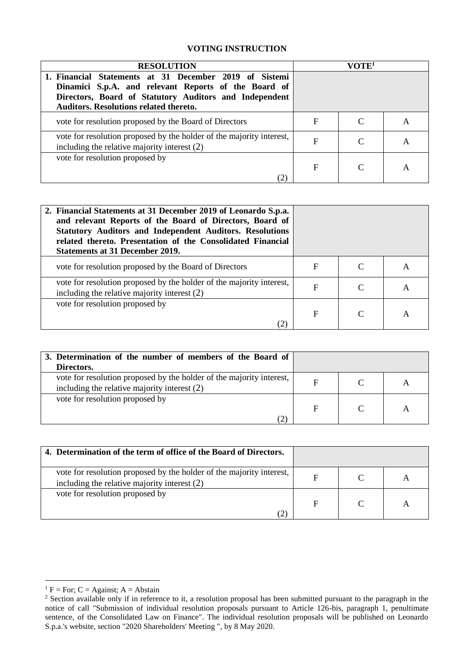# **VOTING INSTRUCTION**

| <b>RESOLUTION</b>                                                                                                                                                                                                         | VOTE <sup>1</sup> |  |   |
|---------------------------------------------------------------------------------------------------------------------------------------------------------------------------------------------------------------------------|-------------------|--|---|
| 1. Financial Statements at 31 December 2019 of Sistemi<br>Dinamici S.p.A. and relevant Reports of the Board of<br>Directors, Board of Statutory Auditors and Independent<br><b>Auditors. Resolutions related thereto.</b> |                   |  |   |
| vote for resolution proposed by the Board of Directors                                                                                                                                                                    | F                 |  | A |
| vote for resolution proposed by the holder of the majority interest,<br>including the relative majority interest $(2)$                                                                                                    | F                 |  | A |
| vote for resolution proposed by                                                                                                                                                                                           | F                 |  | А |

| 2. Financial Statements at 31 December 2019 of Leonardo S.p.a.<br>and relevant Reports of the Board of Directors, Board of<br><b>Statutory Auditors and Independent Auditors. Resolutions</b><br>related thereto. Presentation of the Consolidated Financial<br><b>Statements at 31 December 2019.</b> |             |          |                |
|--------------------------------------------------------------------------------------------------------------------------------------------------------------------------------------------------------------------------------------------------------------------------------------------------------|-------------|----------|----------------|
| vote for resolution proposed by the Board of Directors                                                                                                                                                                                                                                                 | F           | C        | A              |
| vote for resolution proposed by the holder of the majority interest,<br>including the relative majority interest $(2)$                                                                                                                                                                                 | $\mathbf F$ | C        | A              |
| vote for resolution proposed by<br>(2)                                                                                                                                                                                                                                                                 | $\mathbf F$ | $\Gamma$ | $\overline{A}$ |

| 3. Determination of the number of members of the Board of                                                              |  |  |
|------------------------------------------------------------------------------------------------------------------------|--|--|
| Directors.                                                                                                             |  |  |
| vote for resolution proposed by the holder of the majority interest,<br>including the relative majority interest $(2)$ |  |  |
| vote for resolution proposed by                                                                                        |  |  |

| 4. Determination of the term of office of the Board of Directors.                                                        |  |  |
|--------------------------------------------------------------------------------------------------------------------------|--|--|
| vote for resolution proposed by the holder of the majority interest,  <br>including the relative majority interest $(2)$ |  |  |
| vote for resolution proposed by                                                                                          |  |  |

1

 ${}^{1}$  F = For; C = Against; A = Abstain

<sup>&</sup>lt;sup>2</sup> Section available only if in reference to it, a resolution proposal has been submitted pursuant to the paragraph in the notice of call "Submission of individual resolution proposals pursuant to Article 126-bis, paragraph 1, penultimate sentence, of the Consolidated Law on Finance". The individual resolution proposals will be published on Leonardo S.p.a.'s website, section "2020 Shareholders' Meeting ", by 8 May 2020.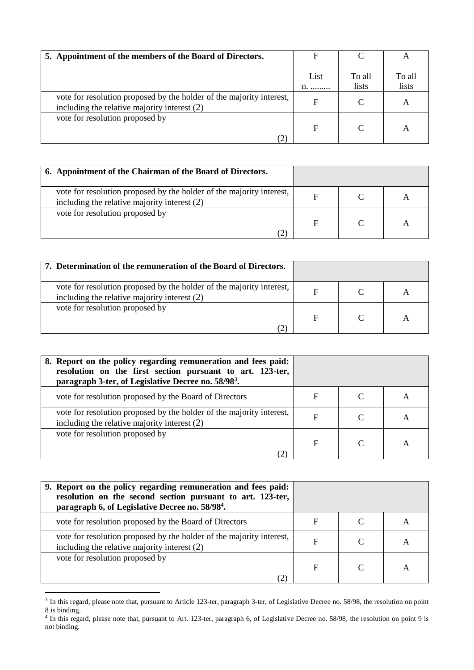| 5. Appointment of the members of the Board of Directors.                                                               | F                              |                 | $\mathsf{A}$    |
|------------------------------------------------------------------------------------------------------------------------|--------------------------------|-----------------|-----------------|
|                                                                                                                        | List<br>$n_{1}, \ldots, n_{n}$ | To all<br>lists | To all<br>lists |
| vote for resolution proposed by the holder of the majority interest,<br>including the relative majority interest $(2)$ | F                              |                 | A               |
| vote for resolution proposed by<br>(2)                                                                                 | F                              |                 | A               |

| 6. Appointment of the Chairman of the Board of Directors.                                                              |  |  |
|------------------------------------------------------------------------------------------------------------------------|--|--|
| vote for resolution proposed by the holder of the majority interest,<br>including the relative majority interest $(2)$ |  |  |
| vote for resolution proposed by                                                                                        |  |  |

| 7. Determination of the remuneration of the Board of Directors.                                                        |   |  |
|------------------------------------------------------------------------------------------------------------------------|---|--|
| vote for resolution proposed by the holder of the majority interest,<br>including the relative majority interest $(2)$ | F |  |
| vote for resolution proposed by                                                                                        |   |  |

| 8. Report on the policy regarding remuneration and fees paid:<br>resolution on the first section pursuant to art. 123-ter,<br>paragraph 3-ter, of Legislative Decree no. 58/98 <sup>3</sup> . |   |   |
|-----------------------------------------------------------------------------------------------------------------------------------------------------------------------------------------------|---|---|
| vote for resolution proposed by the Board of Directors                                                                                                                                        | F | A |
| vote for resolution proposed by the holder of the majority interest,<br>including the relative majority interest $(2)$                                                                        | F | A |
| vote for resolution proposed by                                                                                                                                                               | F | A |

| 9. Report on the policy regarding remuneration and fees paid:<br>resolution on the second section pursuant to art. 123-ter,<br>paragraph 6, of Legislative Decree no. 58/98 <sup>4</sup> . |   |   |
|--------------------------------------------------------------------------------------------------------------------------------------------------------------------------------------------|---|---|
| vote for resolution proposed by the Board of Directors                                                                                                                                     | F |   |
| vote for resolution proposed by the holder of the majority interest,<br>including the relative majority interest $(2)$                                                                     | F | A |
| vote for resolution proposed by<br>(2)                                                                                                                                                     | F |   |

<sup>&</sup>lt;sup>3</sup> In this regard, please note that, pursuant to Article 123-ter, paragraph 3-ter, of Legislative Decree no. 58/98, the resolution on point 8 is binding. 4 In this regard, please note that, pursuant to Art. 123-ter, paragraph 6, of Legislative Decree no. 58/98, the resolution on point 9 is

not binding.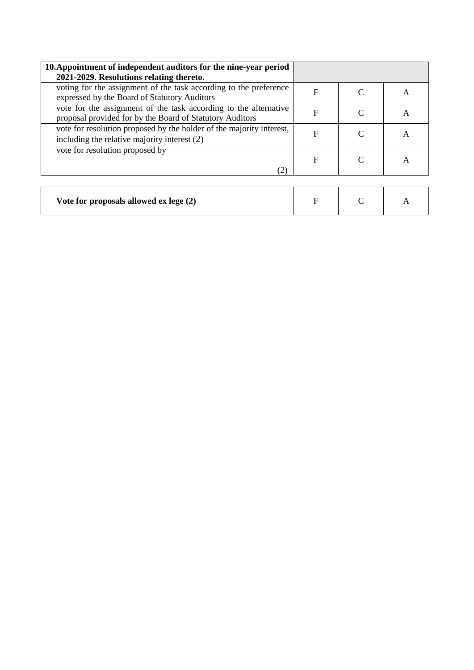| 10. Appointment of independent auditors for the nine-year period<br>2021-2029. Resolutions relating thereto.                 |             |   |
|------------------------------------------------------------------------------------------------------------------------------|-------------|---|
| voting for the assignment of the task according to the preference<br>expressed by the Board of Statutory Auditors            | $\mathbf F$ | A |
| vote for the assignment of the task according to the alternative<br>proposal provided for by the Board of Statutory Auditors | F           | A |
| vote for resolution proposed by the holder of the majority interest,<br>including the relative majority interest $(2)$       | F           | A |
| vote for resolution proposed by<br>(2)                                                                                       | $\mathbf F$ | А |

| Vote for proposals allowed ex lege (2) |  |  |  |
|----------------------------------------|--|--|--|
|----------------------------------------|--|--|--|